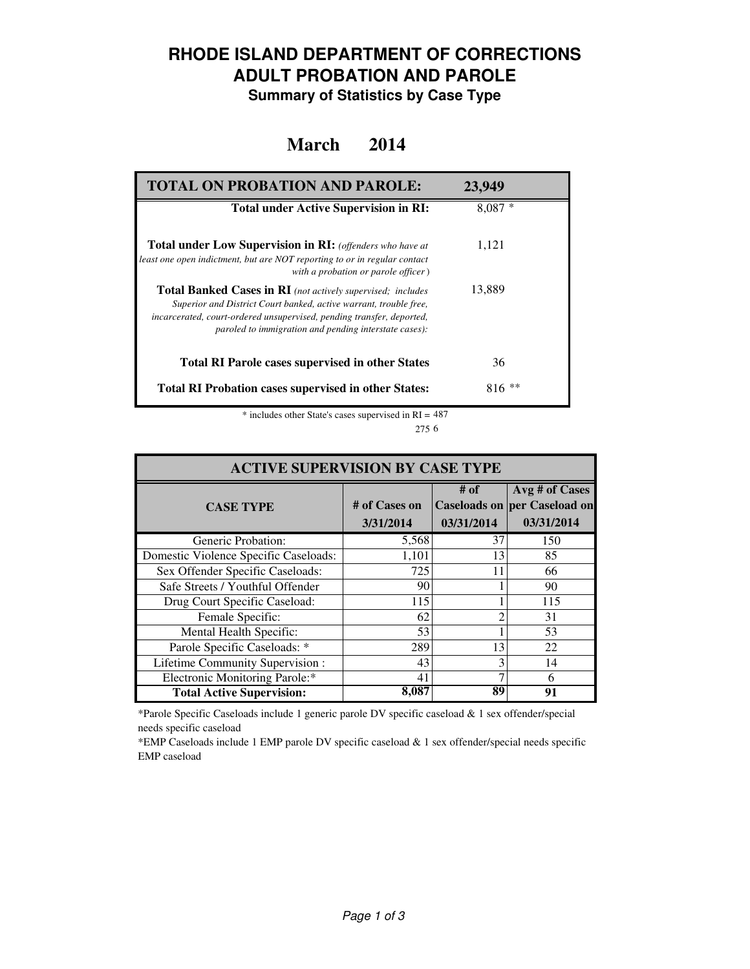## **RHODE ISLAND DEPARTMENT OF CORRECTIONS ADULT PROBATION AND PAROLE**

**Summary of Statistics by Case Type**

#### **March 2014**

| <b>TOTAL ON PROBATION AND PAROLE:</b>                                                                                                                                                                                                                                     | 23,949     |
|---------------------------------------------------------------------------------------------------------------------------------------------------------------------------------------------------------------------------------------------------------------------------|------------|
| <b>Total under Active Supervision in RI:</b>                                                                                                                                                                                                                              | $8,087*$   |
| <b>Total under Low Supervision in RI:</b> (offenders who have at<br>least one open indictment, but are NOT reporting to or in regular contact<br>with a probation or parole officer)                                                                                      | 1,121      |
| <b>Total Banked Cases in RI</b> (not actively supervised; includes<br>Superior and District Court banked, active warrant, trouble free,<br>incarcerated, court-ordered unsupervised, pending transfer, deported,<br>paroled to immigration and pending interstate cases): | 13,889     |
| <b>Total RI Parole cases supervised in other States</b>                                                                                                                                                                                                                   | 36         |
| <b>Total RI Probation cases supervised in other States:</b>                                                                                                                                                                                                               | ∗∗<br>816- |

 $*$  includes other State's cases supervised in RI = 487 6 275

| <b>ACTIVE SUPERVISION BY CASE TYPE</b> |                            |                    |                                                                     |  |  |
|----------------------------------------|----------------------------|--------------------|---------------------------------------------------------------------|--|--|
| <b>CASE TYPE</b>                       | # of Cases on<br>3/31/2014 | # of<br>03/31/2014 | Avg # of Cases<br><b>Caseloads on per Caseload on</b><br>03/31/2014 |  |  |
| Generic Probation:                     | 5,568                      | 37                 | 150                                                                 |  |  |
| Domestic Violence Specific Caseloads:  | 1,101                      | 13                 | 85                                                                  |  |  |
| Sex Offender Specific Caseloads:       | 725                        | 11                 | 66                                                                  |  |  |
| Safe Streets / Youthful Offender       | 90                         |                    | 90                                                                  |  |  |
| Drug Court Specific Caseload:          | 115                        |                    | 115                                                                 |  |  |
| Female Specific:                       | 62                         | ∍                  | 31                                                                  |  |  |
| Mental Health Specific:                | 53                         |                    | 53                                                                  |  |  |
| Parole Specific Caseloads: *           | 289                        | 13                 | 22                                                                  |  |  |
| Lifetime Community Supervision:        | 43                         | 3                  | 14                                                                  |  |  |
| Electronic Monitoring Parole:*         | 41                         |                    | 6                                                                   |  |  |
| <b>Total Active Supervision:</b>       | 8,087                      | 89                 | 91                                                                  |  |  |

\*Parole Specific Caseloads include 1 generic parole DV specific caseload & 1 sex offender/special needs specific caseload

\*EMP Caseloads include 1 EMP parole DV specific caseload & 1 sex offender/special needs specific EMP caseload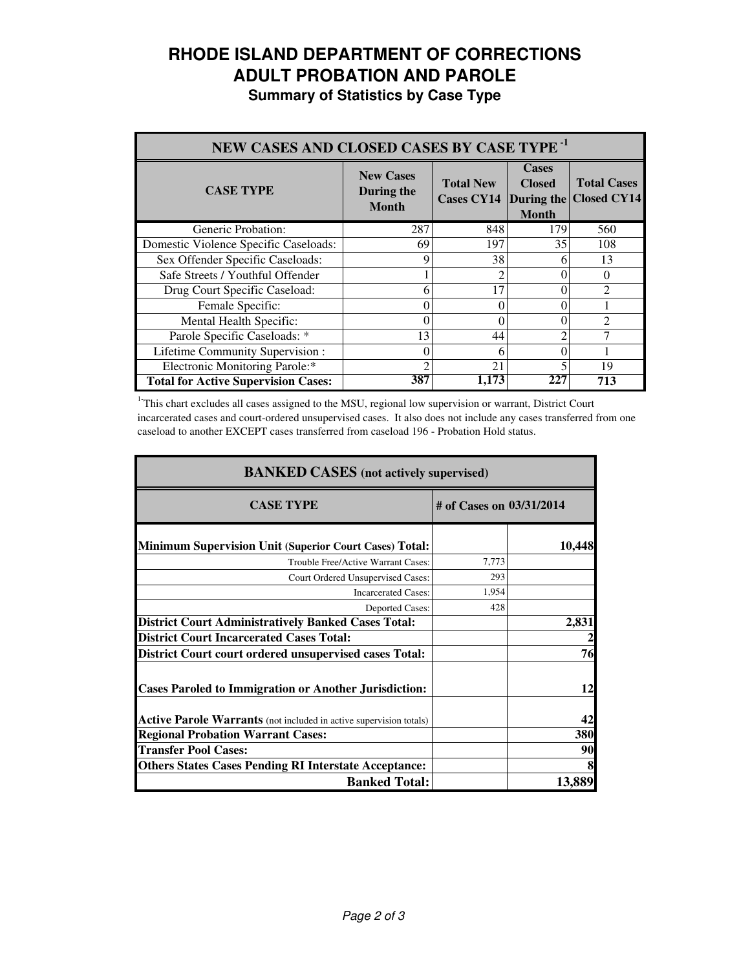# **RHODE ISLAND DEPARTMENT OF CORRECTIONS ADULT PROBATION AND PAROLE**

**Summary of Statistics by Case Type**

| NEW CASES AND CLOSED CASES BY CASE TYPE <sup>-1</sup> |                                                |                                       |                                                             |                                          |  |
|-------------------------------------------------------|------------------------------------------------|---------------------------------------|-------------------------------------------------------------|------------------------------------------|--|
| <b>CASE TYPE</b>                                      | <b>New Cases</b><br>During the<br><b>Month</b> | <b>Total New</b><br><b>Cases CY14</b> | <b>Cases</b><br><b>Closed</b><br>During the<br><b>Month</b> | <b>Total Cases</b><br><b>Closed CY14</b> |  |
| Generic Probation:                                    | 287                                            | 848                                   | 179                                                         | 560                                      |  |
| Domestic Violence Specific Caseloads:                 | 69                                             | 197                                   | 35                                                          | 108                                      |  |
| Sex Offender Specific Caseloads:                      | 9                                              | 38                                    | 6                                                           | 13                                       |  |
| Safe Streets / Youthful Offender                      |                                                |                                       |                                                             | 0                                        |  |
| Drug Court Specific Caseload:                         | 6                                              | 17                                    |                                                             | $\mathfrak{D}$                           |  |
| Female Specific:                                      | $\theta$                                       | 0                                     |                                                             |                                          |  |
| Mental Health Specific:                               | $\Omega$                                       | 0                                     |                                                             | $\mathfrak{D}$                           |  |
| Parole Specific Caseloads: *                          | 13                                             | 44                                    |                                                             |                                          |  |
| Lifetime Community Supervision:                       | $\theta$                                       | 6                                     |                                                             |                                          |  |
| Electronic Monitoring Parole:*                        | 2                                              | 21                                    |                                                             | 19                                       |  |
| <b>Total for Active Supervision Cases:</b>            | 387                                            | 1.173                                 | 227                                                         | 713                                      |  |

<sup>1</sup>This chart excludes all cases assigned to the MSU, regional low supervision or warrant, District Court incarcerated cases and court-ordered unsupervised cases. It also does not include any cases transferred from one caseload to another EXCEPT cases transferred from caseload 196 - Probation Hold status.

| <b>BANKED CASES</b> (not actively supervised)                             |                          |            |  |
|---------------------------------------------------------------------------|--------------------------|------------|--|
| <b>CASE TYPE</b>                                                          | # of Cases on 03/31/2014 |            |  |
| <b>Minimum Supervision Unit (Superior Court Cases) Total:</b>             |                          | 10,448     |  |
| Trouble Free/Active Warrant Cases:                                        | 7,773                    |            |  |
| Court Ordered Unsupervised Cases:                                         | 293                      |            |  |
| <b>Incarcerated Cases:</b>                                                | 1,954                    |            |  |
| <b>Deported Cases:</b>                                                    | 428                      |            |  |
| <b>District Court Administratively Banked Cases Total:</b>                |                          | 2,831      |  |
| <b>District Court Incarcerated Cases Total:</b>                           |                          |            |  |
| <b>District Court court ordered unsupervised cases Total:</b>             |                          | 76         |  |
| <b>Cases Paroled to Immigration or Another Jurisdiction:</b>              |                          | 12         |  |
| <b>Active Parole Warrants</b> (not included in active supervision totals) |                          | 42         |  |
| <b>Regional Probation Warrant Cases:</b>                                  |                          | <b>380</b> |  |
| <b>Transfer Pool Cases:</b>                                               |                          | 90         |  |
| <b>Others States Cases Pending RI Interstate Acceptance:</b>              |                          |            |  |
| <b>Banked Total:</b>                                                      |                          | 13,889     |  |